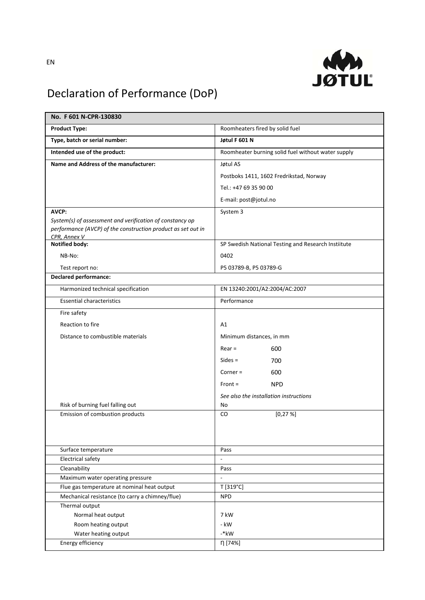

## Declaration of Performance (DoP)

| No. F 601 N-CPR-130830                                       |                                                     |
|--------------------------------------------------------------|-----------------------------------------------------|
| <b>Product Type:</b>                                         | Roomheaters fired by solid fuel                     |
| Type, batch or serial number:                                | Jøtul F 601 N                                       |
| Intended use of the product:                                 | Roomheater burning solid fuel without water supply  |
| Name and Address of the manufacturer:                        | Jøtul AS                                            |
|                                                              | Postboks 1411, 1602 Fredrikstad, Norway             |
|                                                              | Tel.: +47 69 35 90 00                               |
|                                                              | E-mail: post@jotul.no                               |
| <b>AVCP:</b>                                                 | System 3                                            |
| System(s) of assessment and verification of constancy op     |                                                     |
| performance (AVCP) of the construction product as set out in |                                                     |
| CPR, Annex V<br><b>Notified body:</b>                        | SP Swedish National Testing and Research Instiitute |
|                                                              |                                                     |
| NB-No:                                                       | 0402                                                |
| Test report no:                                              | P5 03789-B, P5 03789-G                              |
| <b>Declared performance:</b>                                 |                                                     |
| Harmonized technical specification                           | EN 13240:2001/A2:2004/AC:2007                       |
| <b>Essential characteristics</b>                             | Performance                                         |
| Fire safety                                                  |                                                     |
| Reaction to fire                                             | A1                                                  |
| Distance to combustible materials                            | Minimum distances, in mm                            |
|                                                              | $Rear =$<br>600                                     |
|                                                              | $Sides =$<br>700                                    |
|                                                              | $Corner =$<br>600                                   |
|                                                              |                                                     |
|                                                              | $Front =$<br><b>NPD</b>                             |
|                                                              | See also the installation instructions              |
| Risk of burning fuel falling out                             | No<br>CO                                            |
| Emission of combustion products                              | $[0, 27 \%]$                                        |
|                                                              |                                                     |
|                                                              |                                                     |
| Surface temperature                                          | Pass                                                |
| <b>Electrical safety</b>                                     | $\overline{\phantom{a}}$                            |
| Cleanability                                                 | Pass                                                |
| Maximum water operating pressure                             | $\Box$                                              |
| Flue gas temperature at nominal heat output                  | T [319°C]                                           |
| Mechanical resistance (to carry a chimney/flue)              | <b>NPD</b>                                          |
| Thermal output                                               |                                                     |
| Normal heat output                                           | 7 kW                                                |
| Room heating output<br>Water heating output                  | - kW<br>-*kW                                        |
| Energy efficiency                                            | η [74%]                                             |
|                                                              |                                                     |